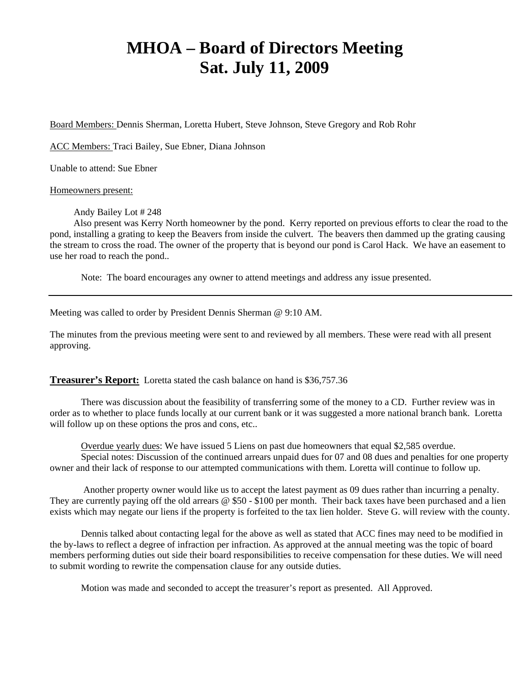# **MHOA – Board of Directors Meeting Sat. July 11, 2009**

Board Members: Dennis Sherman, Loretta Hubert, Steve Johnson, Steve Gregory and Rob Rohr

ACC Members: Traci Bailey, Sue Ebner, Diana Johnson

Unable to attend: Sue Ebner

Homeowners present:

Andy Bailey Lot # 248

 Also present was Kerry North homeowner by the pond. Kerry reported on previous efforts to clear the road to the pond, installing a grating to keep the Beavers from inside the culvert. The beavers then dammed up the grating causing the stream to cross the road. The owner of the property that is beyond our pond is Carol Hack. We have an easement to use her road to reach the pond..

Note: The board encourages any owner to attend meetings and address any issue presented.

Meeting was called to order by President Dennis Sherman @ 9:10 AM.

The minutes from the previous meeting were sent to and reviewed by all members. These were read with all present approving.

**Treasurer's Report:** Loretta stated the cash balance on hand is \$36,757.36

There was discussion about the feasibility of transferring some of the money to a CD. Further review was in order as to whether to place funds locally at our current bank or it was suggested a more national branch bank. Loretta will follow up on these options the pros and cons, etc..

Overdue yearly dues: We have issued 5 Liens on past due homeowners that equal \$2,585 overdue. Special notes: Discussion of the continued arrears unpaid dues for 07 and 08 dues and penalties for one property owner and their lack of response to our attempted communications with them. Loretta will continue to follow up.

 Another property owner would like us to accept the latest payment as 09 dues rather than incurring a penalty. They are currently paying off the old arrears @ \$50 - \$100 per month. Their back taxes have been purchased and a lien exists which may negate our liens if the property is forfeited to the tax lien holder. Steve G. will review with the county.

Dennis talked about contacting legal for the above as well as stated that ACC fines may need to be modified in the by-laws to reflect a degree of infraction per infraction. As approved at the annual meeting was the topic of board members performing duties out side their board responsibilities to receive compensation for these duties. We will need to submit wording to rewrite the compensation clause for any outside duties.

Motion was made and seconded to accept the treasurer's report as presented. All Approved.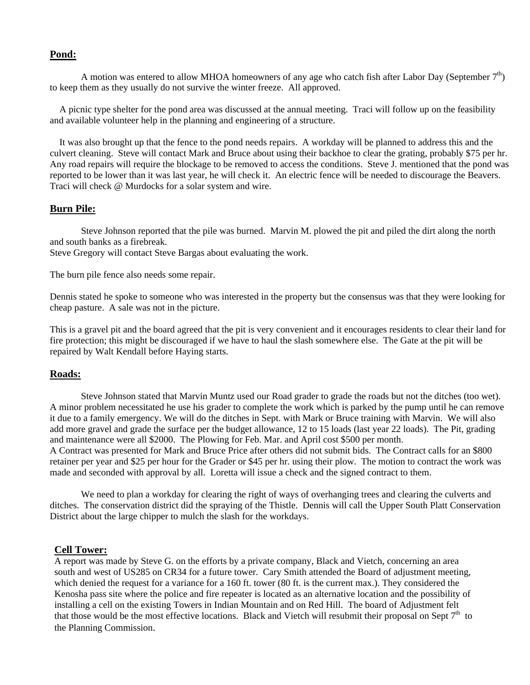## **Pond:**

A motion was entered to allow MHOA homeowners of any age who catch fish after Labor Day (September  $7<sup>th</sup>$ ) to keep them as they usually do not survive the winter freeze. All approved.

 A picnic type shelter for the pond area was discussed at the annual meeting. Traci will follow up on the feasibility and available volunteer help in the planning and engineering of a structure.

 It was also brought up that the fence to the pond needs repairs. A workday will be planned to address this and the culvert cleaning. Steve will contact Mark and Bruce about using their backhoe to clear the grating, probably \$75 per hr. Any road repairs will require the blockage to be removed to access the conditions. Steve J. mentioned that the pond was reported to be lower than it was last year, he will check it. An electric fence will be needed to discourage the Beavers. Traci will check @ Murdocks for a solar system and wire.

# **Burn Pile:**

Steve Johnson reported that the pile was burned. Marvin M. plowed the pit and piled the dirt along the north and south banks as a firebreak.

Steve Gregory will contact Steve Bargas about evaluating the work.

The burn pile fence also needs some repair.

Dennis stated he spoke to someone who was interested in the property but the consensus was that they were looking for cheap pasture. A sale was not in the picture.

This is a gravel pit and the board agreed that the pit is very convenient and it encourages residents to clear their land for fire protection; this might be discouraged if we have to haul the slash somewhere else. The Gate at the pit will be repaired by Walt Kendall before Haying starts.

## **Roads:**

Steve Johnson stated that Marvin Muntz used our Road grader to grade the roads but not the ditches (too wet). A minor problem necessitated he use his grader to complete the work which is parked by the pump until he can remove it due to a family emergency. We will do the ditches in Sept. with Mark or Bruce training with Marvin. We will also add more gravel and grade the surface per the budget allowance, 12 to 15 loads (last year 22 loads). The Pit, grading and maintenance were all \$2000. The Plowing for Feb. Mar. and April cost \$500 per month.

A Contract was presented for Mark and Bruce Price after others did not submit bids. The Contract calls for an \$800 retainer per year and \$25 per hour for the Grader or \$45 per hr. using their plow. The motion to contract the work was made and seconded with approval by all. Loretta will issue a check and the signed contract to them.

We need to plan a workday for clearing the right of ways of overhanging trees and clearing the culverts and ditches. The conservation district did the spraying of the Thistle. Dennis will call the Upper South Platt Conservation District about the large chipper to mulch the slash for the workdays.

## **Cell Tower:**

A report was made by Steve G. on the efforts by a private company, Black and Vietch, concerning an area south and west of US285 on CR34 for a future tower. Cary Smith attended the Board of adjustment meeting, which denied the request for a variance for a 160 ft. tower (80 ft. is the current max.). They considered the Kenosha pass site where the police and fire repeater is located as an alternative location and the possibility of installing a cell on the existing Towers in Indian Mountain and on Red Hill. The board of Adjustment felt that those would be the most effective locations. Black and Vietch will resubmit their proposal on Sept  $7<sup>th</sup>$  to the Planning Commission.